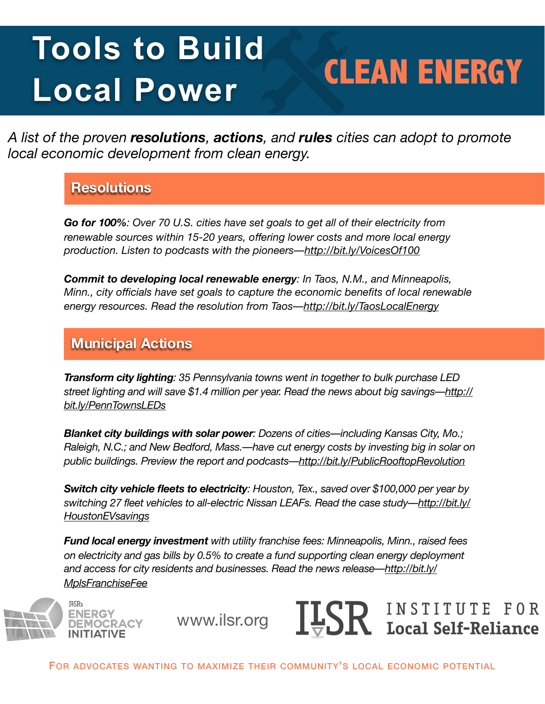# Tools to Build **CLEAN ENERGY Local Power**

*A list of the proven resolutions, actions, and rules cities can adopt to promote local economic development from clean energy.* 

### **Resolutions**

*Go for 100%: Over 70 U.S. cities have set goals to get all of their electricity from renewable sources within 15-20 years, offering lower costs and more local energy production. Listen to podcasts with the pioneers–[–http://bit.ly/VoicesOf100](http://bit.ly/VoicesOf100)* 

*Commit to developing local renewable energy: In Taos, N.M., and Minneapolis, Minn., city officials have set goals to capture the economic benefits of local renewable energy resources. Read the resolution from Taos–[–http://bit.ly/TaosLocalEnergy](http://bit.ly/TaosLocalEnergy)* 

## **Municipal Actions**

*Transform city lighting: 35 Pennsylvania towns went in together to bulk purchase LED street lighting and will save \$1.4 million per year. Read the news about big savings–[–http://](http://bit.ly/PennTownsLEDs) [bit.ly/PennTownsLEDs](http://bit.ly/PennTownsLEDs)* 

*Blanket city buildings with solar power: Dozens of cities––including Kansas City, Mo.; Raleigh, N.C.; and New Bedford, Mass.––have cut energy costs by investing big in solar on public buildings. Preview the report and podcasts–[–http://bit.ly/PublicRooftopRevolution](http://bit.ly/PublicRooftopRevolution)* 

*Switch city vehicle fleets to electricity: Houston, Tex., saved over \$100,000 per year by switching 27 fleet vehicles to all-electric Nissan LEAFs. Read the case study–[–http://bit.ly/](http://bit.ly/HoustonEVsavings) [HoustonEVsavings](http://bit.ly/HoustonEVsavings)* 

*Fund local energy investment with utility franchise fees: Minneapolis, Minn., raised fees on electricity and gas bills by 0.5% to create a fund supporting clean energy deployment and access for city residents and businesses. Read the news release––[http://bit.ly/](http://bit.ly/MplsFranchiseFee) [MplsFranchiseFee](http://bit.ly/MplsFranchiseFee)* 



www.ilsr.org



FOR ADVOCATES WANTING TO MAXIMIZE THEIR COMMUNITY'S LOCAL ECONOMIC POTENTIAL